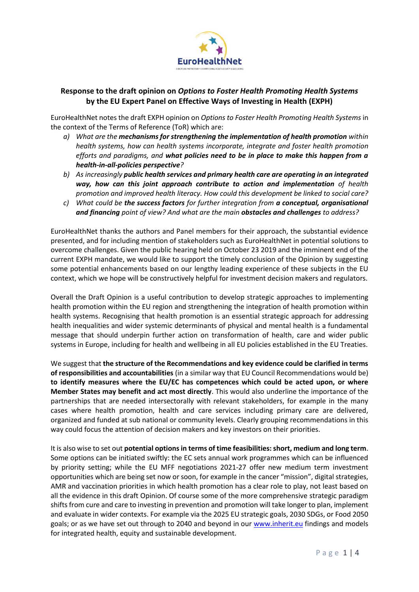

## **Response to the draft opinion on** *Options to Foster Health Promoting Health Systems* **by the EU Expert Panel on Effective Ways of Investing in Health (EXPH)**

EuroHealthNet notes the draft EXPH opinion on *Options to Foster Health Promoting Health Systems* in the context of the Terms of Reference (ToR) which are:

- *a) What are the mechanisms for strengthening the implementation of health promotion within health systems, how can health systems incorporate, integrate and foster health promotion efforts and paradigms, and what policies need to be in place to make this happen from a health-in-all-policies perspective?*
- *b) As increasingly public health services and primary health care are operating in an integrated way, how can this joint approach contribute to action and implementation of health promotion and improved health literacy. How could this development be linked to social care?*
- *c) What could be the success factors for further integration from a conceptual, organisational and financing point of view? And what are the main obstacles and challenges to address?*

EuroHealthNet thanks the authors and Panel members for their approach, the substantial evidence presented, and for including mention of stakeholders such as EuroHealthNet in potential solutions to overcome challenges. Given the public hearing held on October 23 2019 and the imminent end of the current EXPH mandate, we would like to support the timely conclusion of the Opinion by suggesting some potential enhancements based on our lengthy leading experience of these subjects in the EU context, which we hope will be constructively helpful for investment decision makers and regulators.

Overall the Draft Opinion is a useful contribution to develop strategic approaches to implementing health promotion within the EU region and strengthening the integration of health promotion within health systems. Recognising that health promotion is an essential strategic approach for addressing health inequalities and wider systemic determinants of physical and mental health is a fundamental message that should underpin further action on transformation of health, care and wider public systems in Europe, including for health and wellbeing in all EU policies established in the EU Treaties.

We suggest that **the structure of the Recommendations and key evidence could be clarified in terms of responsibilities and accountabilities** (in a similar way that EU Council Recommendations would be) **to identify measures where the EU/EC has competences which could be acted upon, or where Member States may benefit and act most directly**. This would also underline the importance of the partnerships that are needed intersectorally with relevant stakeholders, for example in the many cases where health promotion, health and care services including primary care are delivered, organized and funded at sub national or community levels. Clearly grouping recommendations in this way could focus the attention of decision makers and key investors on their priorities.

It is also wise to set out **potential options in terms of time feasibilities: short, medium and long term**. Some options can be initiated swiftly: the EC sets annual work programmes which can be influenced by priority setting; while the EU MFF negotiations 2021-27 offer new medium term investment opportunities which are being set now or soon, for example in the cancer "mission", digital strategies, AMR and vaccination priorities in which health promotion has a clear role to play, not least based on all the evidence in this draft Opinion. Of course some of the more comprehensive strategic paradigm shifts from cure and care to investing in prevention and promotion will take longer to plan, implement and evaluate in wider contexts. For example via the 2025 EU strategic goals, 2030 SDGs, or Food 2050 goals; or as we have set out through to 2040 and beyond in our [www.inherit.eu](http://www.inherit.eu/) findings and models for integrated health, equity and sustainable development.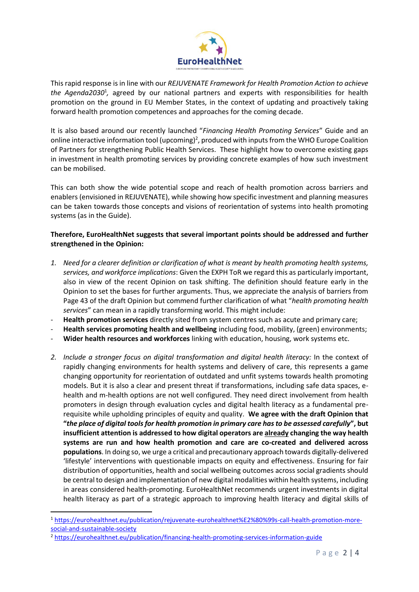

This rapid response is in line with our *REJUVENATE Framework for Health Promotion Action to achieve*  the Agenda2030<sup>1</sup>, agreed by our national partners and experts with responsibilities for health promotion on the ground in EU Member States, in the context of updating and proactively taking forward health promotion competences and approaches for the coming decade.

It is also based around our recently launched "*Financing Health Promoting Services*" Guide and an online interactive information tool (upcoming)<sup>2</sup>, produced with inputs from the WHO Europe Coalition of Partners for strengthening Public Health Services. These highlight how to overcome existing gaps in investment in health promoting services by providing concrete examples of how such investment can be mobilised.

This can both show the wide potential scope and reach of health promotion across barriers and enablers (envisioned in REJUVENATE), while showing how specific investment and planning measures can be taken towards those concepts and visions of reorientation of systems into health promoting systems (as in the Guide).

## **Therefore, EuroHealthNet suggests that several important points should be addressed and further strengthened in the Opinion:**

- *1. Need for a clearer definition or clarification of what is meant by health promoting health systems, services, and workforce implications*: Given the EXPH ToR we regard this as particularly important, also in view of the recent Opinion on task shifting. The definition should feature early in the Opinion to set the bases for further arguments. Thus, we appreciate the analysis of barriers from Page 43 of the draft Opinion but commend further clarification of what "*health promoting health services*" can mean in a rapidly transforming world. This might include:
- **Health promotion services** directly sited from system centres such as acute and primary care;
- **Health services promoting health and wellbeing** including food, mobility, (green) environments;
- Wider health resources and workforces linking with education, housing, work systems etc.
- *2. Include a stronger focus on digital transformation and digital health literacy:* In the context of rapidly changing environments for health systems and delivery of care, this represents a game changing opportunity for reorientation of outdated and unfit systems towards health promoting models. But it is also a clear and present threat if transformations, including safe data spaces, ehealth and m-health options are not well configured. They need direct involvement from health promoters in design through evaluation cycles and digital health literacy as a fundamental prerequisite while upholding principles of equity and quality. **We agree with the draft Opinion that "***the place of digital tools for health promotion in primary care has to be assessed carefully***", but insufficient attention is addressed to how digital operators are already changing the way health systems are run and how health promotion and care are co-created and delivered across populations**. In doing so, we urge a critical and precautionary approach towards digitally-delivered 'lifestyle' interventions with questionable impacts on equity and effectiveness. Ensuring for fair distribution of opportunities, health and social wellbeing outcomes across social gradients should be central to design and implementation of new digital modalities within health systems, including in areas considered health-promoting. EuroHealthNet recommends urgent investments in digital health literacy as part of a strategic approach to improving health literacy and digital skills of

<sup>1</sup> [https://eurohealthnet.eu/publication/rejuvenate-eurohealthnet%E2%80%99s-call-health-promotion-more](https://eurohealthnet.eu/publication/rejuvenate-eurohealthnet%E2%80%99s-call-health-promotion-more-social-and-sustainable-society)[social-and-sustainable-society](https://eurohealthnet.eu/publication/rejuvenate-eurohealthnet%E2%80%99s-call-health-promotion-more-social-and-sustainable-society)

<sup>2</sup> <https://eurohealthnet.eu/publication/financing-health-promoting-services-information-guide>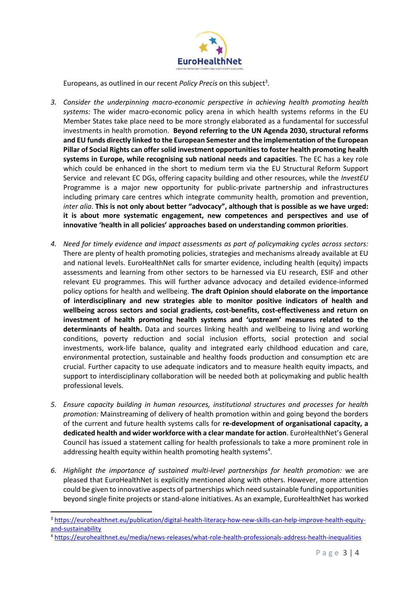

Europeans, as outlined in our recent *Policy Precis* on this subject<sup>3</sup>.

- *3. Consider the underpinning macro-economic perspective in achieving health promoting health systems:* The wider macro-economic policy arena in which health systems reforms in the EU Member States take place need to be more strongly elaborated as a fundamental for successful investments in health promotion. **Beyond referring to the UN Agenda 2030, structural reforms and EU funds directly linked to the European Semester and the implementation of the European Pillar of Social Rights can offer solid investment opportunities to foster health promoting health systems in Europe, while recognising sub national needs and capacities**. The EC has a key role which could be enhanced in the short to medium term via the EU Structural Reform Support Service and relevant EC DGs, offering capacity building and other resources, while the *InvestEU* Programme is a major new opportunity for public-private partnership and infrastructures including primary care centres which integrate community health, promotion and prevention, *inter alia*. **This is not only about better "advocacy", although that is possible as we have urged: it is about more systematic engagement, new competences and perspectives and use of innovative 'health in all policies' approaches based on understanding common priorities**.
- *4. Need for timely evidence and impact assessments as part of policymaking cycles across sectors:* There are plenty of health promoting policies, strategies and mechanisms already available at EU and national levels. EuroHealthNet calls for smarter evidence, including health (equity) impacts assessments and learning from other sectors to be harnessed via EU research, ESIF and other relevant EU programmes. This will further advance advocacy and detailed evidence-informed policy options for health and wellbeing. **The draft Opinion should elaborate on the importance of interdisciplinary and new strategies able to monitor positive indicators of health and wellbeing across sectors and social gradients, cost-benefits, cost-effectiveness and return on investment of health promoting health systems and 'upstream' measures related to the determinants of health.** Data and sources linking health and wellbeing to living and working conditions, poverty reduction and social inclusion efforts, social protection and social investments, work-life balance, quality and integrated early childhood education and care, environmental protection, sustainable and healthy foods production and consumption etc are crucial. Further capacity to use adequate indicators and to measure health equity impacts, and support to interdisciplinary collaboration will be needed both at policymaking and public health professional levels.
- *5. Ensure capacity building in human resources, institutional structures and processes for health promotion:* Mainstreaming of delivery of health promotion within and going beyond the borders of the current and future health systems calls for **re-development of organisational capacity, a dedicated health and wider workforce with a clear mandate for action**. EuroHealthNet's General Council has issued a statement calling for health professionals to take a more prominent role in addressing health equity within health promoting health systems<sup>4</sup>.
- *6. Highlight the importance of sustained multi-level partnerships for health promotion:* we are pleased that EuroHealthNet is explicitly mentioned along with others. However, more attention could be given to innovative aspects of partnerships which need sustainable funding opportunities beyond single finite projects or stand-alone initiatives. As an example, EuroHealthNet has worked

<sup>3</sup> [https://eurohealthnet.eu/publication/digital-health-literacy-how-new-skills-can-help-improve-health-equity](https://eurohealthnet.eu/publication/digital-health-literacy-how-new-skills-can-help-improve-health-equity-and-sustainability)[and-sustainability](https://eurohealthnet.eu/publication/digital-health-literacy-how-new-skills-can-help-improve-health-equity-and-sustainability)

<sup>4</sup> <https://eurohealthnet.eu/media/news-releases/what-role-health-professionals-address-health-inequalities>